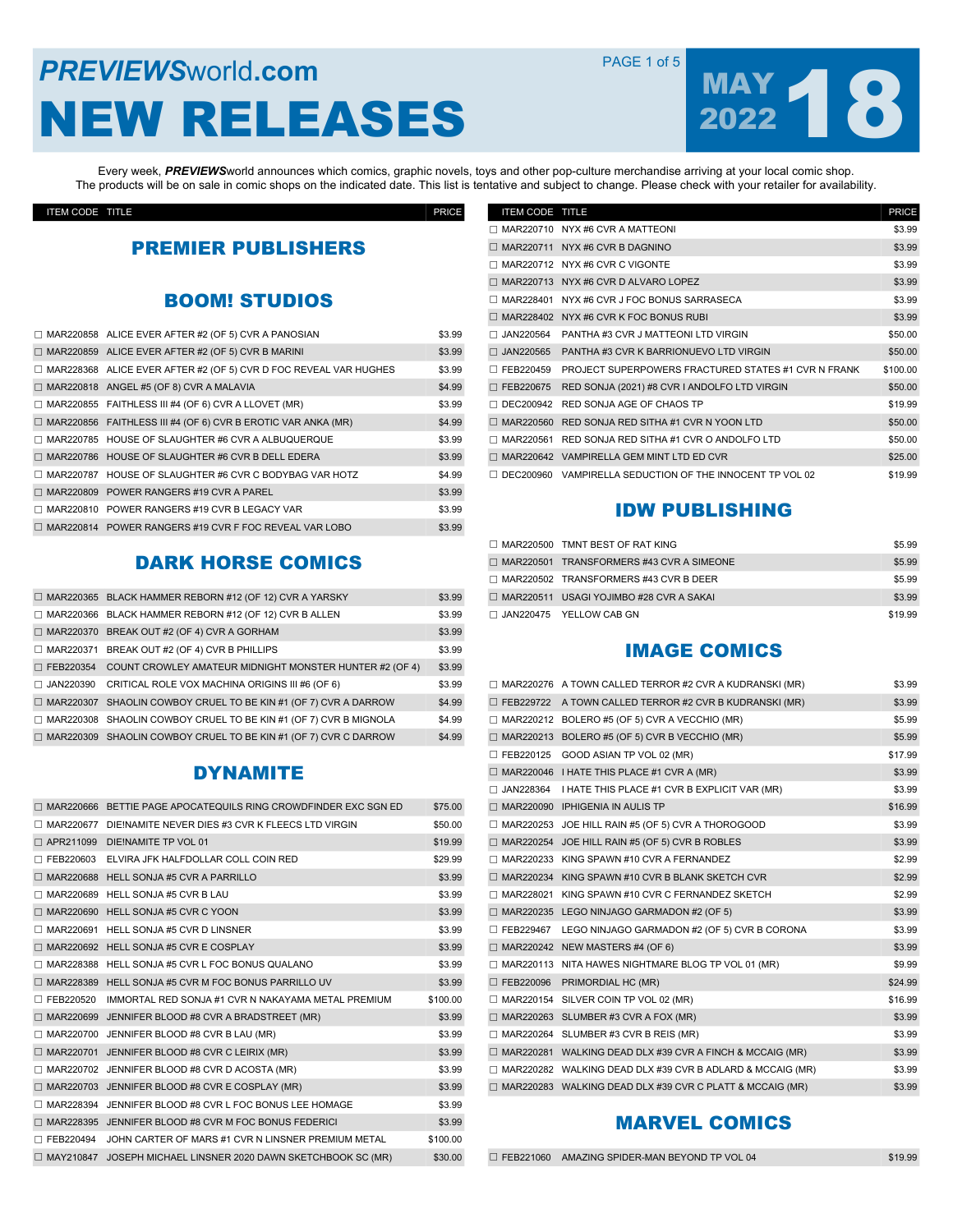### **PREVIEWS** World **.com PAGE 1 of 5** NEW RELEASES



Every week, *PREVIEWS*world announces which comics, graphic novels, toys and other pop-culture merchandise arriving at your local comic shop. The products will be on sale in comic shops on the indicated date. This list is tentative and subject to change. Please check with your retailer for availability.

ITEM CODE TITLE PRICE

### PREMIER PUBLISHERS

### BOOM! STUDIOS

| $\Box$ MAR220858 ALICE EVER AFTER #2 (OF 5) CVR A PANOSIAN              | \$3.99 |
|-------------------------------------------------------------------------|--------|
| $\Box$ MAR220859 ALICE EVER AFTER #2 (OF 5) CVR B MARINI                | \$3.99 |
| $\Box$ MAR228368 ALICE EVER AFTER #2 (OF 5) CVR D FOC REVEAL VAR HUGHES | \$3.99 |
| $\Box$ MAR220818 ANGEL #5 (OF 8) CVR A MALAVIA                          | \$4.99 |
| $\Box$ MAR220855 FAITHLESS III #4 (OF 6) CVR A LLOVET (MR)              | \$3.99 |
| $\Box$ MAR220856 FAITHLESS III #4 (OF 6) CVR B EROTIC VAR ANKA (MR)     | \$4.99 |
| $\Box$ MAR220785 HOUSE OF SLAUGHTER #6 CVR A ALBUQUERQUE                | \$3.99 |
| $\Box$ MAR220786 HOUSE OF SLAUGHTER #6 CVR B DELL EDERA                 | \$3.99 |
| $\Box$ MAR220787 HOUSE OF SLAUGHTER #6 CVR C BODYBAG VAR HOTZ           | \$4.99 |
| $\Box$ MAR220809 POWER RANGERS #19 CVR A PAREL                          | \$3.99 |
| $\Box$ MAR220810 POWER RANGERS #19 CVR B LEGACY VAR                     | \$3.99 |
| $\Box$ MAR220814 POWER RANGERS #19 CVR F FOC REVEAL VAR LOBO            | \$3.99 |

### DARK HORSE COMICS

|                  | MAR220365 BLACK HAMMER REBORN #12 (OF 12) CVR A YARSKY             | \$3.99 |
|------------------|--------------------------------------------------------------------|--------|
|                  | MAR220366 BLACK HAMMER REBORN #12 (OF 12) CVR B ALLEN              | \$3.99 |
|                  | $\Box$ MAR220370 BREAK OUT #2 (OF 4) CVR A GORHAM                  | \$3.99 |
|                  | MAR220371 BREAK OUT #2 (OF 4) CVR B PHILLIPS                       | \$3.99 |
| $\Box$ FEB220354 | COUNT CROWLEY AMATEUR MIDNIGHT MONSTER HUNTER #2 (OF 4)            | \$3.99 |
|                  | $\Box$ JAN220390 CRITICAL ROLE VOX MACHINA ORIGINS III #6 (OF 6)   | \$3.99 |
|                  | □ MAR220307 SHAOLIN COWBOY CRUEL TO BE KIN #1 (OF 7) CVR A DARROW  | \$4.99 |
|                  | □ MAR220308 SHAOLIN COWBOY CRUEL TO BE KIN #1 (OF 7) CVR B MIGNOLA | \$4.99 |
|                  | □ MAR220309 SHAOLIN COWBOY CRUEL TO BE KIN #1 (OF 7) CVR C DARROW  | \$4.99 |
|                  |                                                                    |        |

### **DYNAMITE**

| MAR220666 | BETTIE PAGE APOCATEQUILS RING CROWDFINDER EXC SGN ED          | \$75.00  |
|-----------|---------------------------------------------------------------|----------|
| MAR220677 | DIEINAMITE NEVER DIES #3 CVR K FLEECS LTD VIRGIN              | \$50.00  |
|           | APR211099 DIE!NAMITE TP VOL 01                                | \$19.99  |
| FEB220603 | ELVIRA JFK HALFDOLLAR COLL COIN RED                           | \$29.99  |
|           | MAR220688 HELL SONJA #5 CVR A PARRILLO                        | \$3.99   |
|           | MAR220689 HELL SONJA #5 CVR B LAU                             | \$3.99   |
| MAR220690 | HELL SONJA #5 CVR C YOON                                      | \$3.99   |
| MAR220691 | HELL SONJA #5 CVR D LINSNER                                   | \$3.99   |
| MAR220692 | HELL SONJA #5 CVR E COSPLAY                                   | \$3.99   |
|           | MAR228388 HELL SONJA #5 CVR L FOC BONUS QUALANO               | \$3.99   |
| MAR228389 | HELL SONJA #5 CVR M FOC BONUS PARRILLO UV                     | \$3.99   |
| FEB220520 | IMMORTAL RED SONJA #1 CVR N NAKAYAMA METAL PREMIUM            | \$100.00 |
| MAR220699 | JENNIFER BLOOD #8 CVR A BRADSTREET (MR)                       | \$3.99   |
|           | MAR220700 JENNIFER BLOOD #8 CVR B LAU (MR)                    | \$3.99   |
| MAR220701 | JENNIFER BLOOD #8 CVR C LEIRIX (MR)                           | \$3.99   |
| MAR220702 | JENNIFER BLOOD #8 CVR D ACOSTA (MR)                           | \$3.99   |
| MAR220703 | JENNIFER BLOOD #8 CVR E COSPLAY (MR)                          | \$3.99   |
| MAR228394 | JENNIFER BLOOD #8 CVR L FOC BONUS LEE HOMAGE                  | \$3.99   |
| MAR228395 | JENNIFER BLOOD #8 CVR M FOC BONUS FEDERICI                    | \$3.99   |
| FEB220494 | JOHN CARTER OF MARS #1 CVR N LINSNER PREMIUM METAL            | \$100.00 |
|           | MAY210847 JOSEPH MICHAEL LINSNER 2020 DAWN SKETCHBOOK SC (MR) | \$30.00  |
|           |                                                               |          |

| ITEM CODE TITLE  |                                                          | <b>PRICE</b> |
|------------------|----------------------------------------------------------|--------------|
|                  | MAR220710 NYX #6 CVR A MATTEONI                          | \$3.99       |
|                  | MAR220711 NYX #6 CVR B DAGNINO                           | \$3.99       |
|                  | MAR220712 NYX #6 CVR C VIGONTE                           | \$3.99       |
|                  | MAR220713 NYX #6 CVR D ALVARO LOPEZ                      | \$3.99       |
| MAR228401        | NYX #6 CVR J FOC BONUS SARRASECA                         | \$3.99       |
| MAR228402        | NYX #6 CVR K FOC BONUS RUBI                              | \$3.99       |
| JAN220564        | PANTHA #3 CVR J MATTEONI LTD VIRGIN                      | \$50.00      |
| JAN220565        | PANTHA #3 CVR K BARRIONUEVO LTD VIRGIN                   | \$50.00      |
| $\Box$ FEB220459 | PROJECT SUPERPOWERS FRACTURED STATES #1 CVR N FRANK      | \$100.00     |
| □ FEB220675      | RED SONJA (2021) #8 CVR I ANDOLFO LTD VIRGIN             | \$50.00      |
| DEC200942        | RED SONJA AGE OF CHAOS TP                                | \$19.99      |
| MAR220560        | RED SONJA RED SITHA #1 CVR N YOON LTD                    | \$50.00      |
| MAR220561        | RED SONJA RED SITHA #1 CVR O ANDOLFO LTD                 | \$50.00      |
|                  | MAR220642 VAMPIRELLA GEM MINT LTD ED CVR                 | \$25.00      |
|                  | DEC200960 VAMPIRELLA SEDUCTION OF THE INNOCENT TP VOL 02 | \$19.99      |

#### IDW PUBLISHING

| $\Box$ MAR220500 TMNT BEST OF RAT KING          | \$5.99  |
|-------------------------------------------------|---------|
| $\Box$ MAR220501 TRANSFORMERS #43 CVR A SIMEONE | \$5.99  |
| $\Box$ MAR220502 TRANSFORMERS #43 CVR B DEER    | \$5.99  |
| $\Box$ MAR220511 USAGI YOJIMBO #28 CVR A SAKAI  | \$3.99  |
| □ JAN220475 YELLOW CAB GN                       | \$19.99 |

#### IMAGE COMICS

|             | $\Box$ MAR220276 A TOWN CALLED TERROR #2 CVR A KUDRANSKI (MR)   | \$3.99  |
|-------------|-----------------------------------------------------------------|---------|
|             | FEB229722 A TOWN CALLED TERROR #2 CVR B KUDRANSKI (MR)          | \$3.99  |
|             | $\Box$ MAR220212 BOLERO #5 (OF 5) CVR A VECCHIO (MR)            | \$5.99  |
|             | MAR220213 BOLERO #5 (OF 5) CVR B VECCHIO (MR)                   | \$5.99  |
| FEB220125   | GOOD ASIAN TP VOL 02 (MR)                                       | \$17.99 |
|             | MAR220046 I HATE THIS PLACE #1 CVR A (MR)                       | \$3.99  |
|             | JAN228364 I HATE THIS PLACE #1 CVR B EXPLICIT VAR (MR)          | \$3.99  |
|             | $\Box$ MAR220090 IPHIGENIA IN AULIS TP                          | \$16.99 |
|             | MAR220253 JOE HILL RAIN #5 (OF 5) CVR A THOROGOOD               | \$3.99  |
| □ MAR220254 | JOE HILL RAIN #5 (OF 5) CVR B ROBLES                            | \$3.99  |
|             | MAR220233 KING SPAWN #10 CVR A FERNANDEZ                        | \$2.99  |
|             | $\Box$ MAR220234 KING SPAWN #10 CVR B BLANK SKETCH CVR          | \$2.99  |
| MAR228021   | KING SPAWN #10 CVR C FERNANDEZ SKETCH                           | \$2.99  |
|             | $\Box$ MAR220235 LEGO NINJAGO GARMADON #2 (OF 5)                | \$3.99  |
| □ FEB229467 | LEGO NINJAGO GARMADON #2 (OF 5) CVR B CORONA                    | \$3.99  |
|             | MAR220242 NEW MASTERS #4 (OF 6)                                 | \$3.99  |
|             | MAR220113 NITA HAWES NIGHTMARE BLOG TP VOL 01 (MR)              | \$9.99  |
|             | FEB220096 PRIMORDIAL HC (MR)                                    | \$24.99 |
| MAR220154   | SILVER COIN TP VOL 02 (MR)                                      | \$16.99 |
|             | MAR220263 SLUMBER #3 CVR A FOX (MR)                             | \$3.99  |
|             | MAR220264 SLUMBER #3 CVR B REIS (MR)                            | \$3.99  |
|             | $\Box$ MAR220281 WALKING DEAD DLX #39 CVR A FINCH & MCCAIG (MR) | \$3.99  |
|             | MAR220282 WALKING DEAD DLX #39 CVR B ADLARD & MCCAIG (MR)       | \$3.99  |
|             | $\Box$ MAR220283 WALKING DEAD DLX #39 CVR C PLATT & MCCAIG (MR) | \$3.99  |

### MARVEL COMICS

 $\square$  [FEB221060](https://www.previewsworld.com/Catalog/FEB221060) AMAZING SPIDER-MAN BEYOND TP VOL 04 \$19.99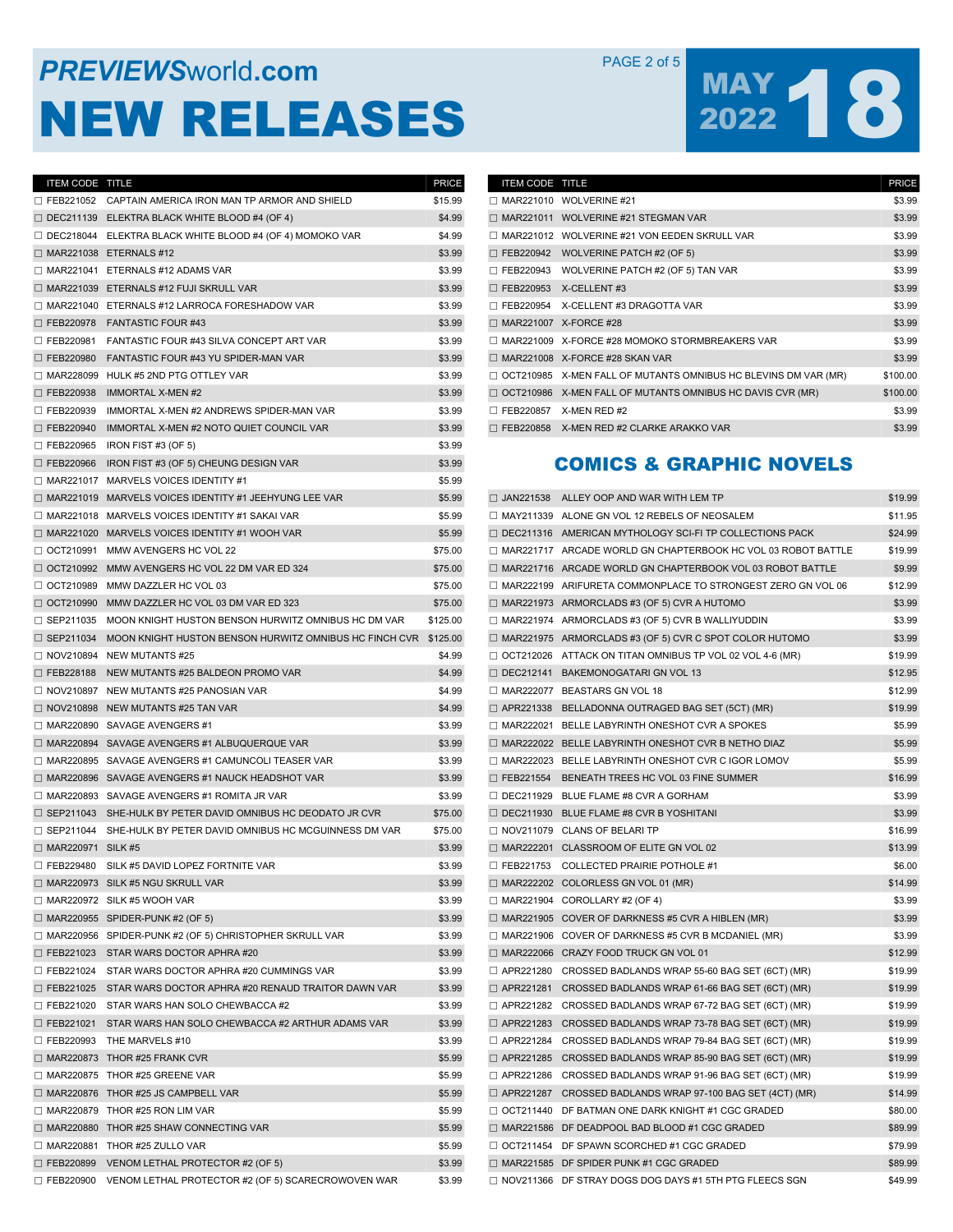## **PREVIEWS** WORLD **COM** PAGE 2 of 5 NEW RELEASES

# MAY 18

| ITEM CODE TITLE          |                                                                         | <b>PRICE</b> |
|--------------------------|-------------------------------------------------------------------------|--------------|
|                          | □ FEB221052 CAPTAIN AMERICA IRON MAN TP ARMOR AND SHIELD                | \$15.99      |
|                          | $\Box$ DEC211139 ELEKTRA BLACK WHITE BLOOD #4 (OF 4)                    | \$4.99       |
|                          | $\Box$ DEC218044 ELEKTRA BLACK WHITE BLOOD #4 (OF 4) MOMOKO VAR         | \$4.99       |
|                          | $\Box$ MAR221038 ETERNALS #12                                           | \$3.99       |
|                          | $\Box$ MAR221041 ETERNALS #12 ADAMS VAR                                 | \$3.99       |
|                          | $\Box$ MAR221039 ETERNALS #12 FUJI SKRULL VAR                           | \$3.99       |
|                          | MAR221040 ETERNALS #12 LARROCA FORESHADOW VAR                           | \$3.99       |
|                          | $\Box$ FEB220978 FANTASTIC FOUR #43                                     | \$3.99       |
|                          | □ FEB220981 FANTASTIC FOUR #43 SILVA CONCEPT ART VAR                    | \$3.99       |
|                          | $\Box$ FEB220980 FANTASTIC FOUR #43 YU SPIDER-MAN VAR                   | \$3.99       |
|                          | MAR228099 HULK #5 2ND PTG OTTLEY VAR                                    | \$3.99       |
|                          | $\Box$ FEB220938 IMMORTAL X-MEN #2                                      | \$3.99       |
|                          | $\Box$ FEB220939 IMMORTAL X-MEN #2 ANDREWS SPIDER-MAN VAR               | \$3.99       |
|                          | $\Box$ FEB220940 IMMORTAL X-MEN #2 NOTO QUIET COUNCIL VAR               | \$3.99       |
|                          | $\Box$ FEB220965 IRON FIST #3 (OF 5)                                    | \$3.99       |
| $\Box$ FEB220966         | IRON FIST #3 (OF 5) CHEUNG DESIGN VAR                                   | \$3.99       |
|                          | $\Box$ MAR221017 MARVELS VOICES IDENTITY #1                             | \$5.99       |
|                          | □ MAR221019 MARVELS VOICES IDENTITY #1 JEEHYUNG LEE VAR                 | \$5.99       |
|                          | $\Box$ MAR221018 MARVELS VOICES IDENTITY #1 SAKAI VAR                   | \$5.99       |
|                          | $\Box$ MAR221020 MARVELS VOICES IDENTITY #1 WOOH VAR                    | \$5.99       |
|                          | □ OCT210991 MMW AVENGERS HC VOL 22                                      | \$75.00      |
|                          | □ OCT210992 MMW AVENGERS HC VOL 22 DM VAR ED 324                        | \$75.00      |
|                          | □ OCT210989 MMW DAZZLER HC VOL 03                                       | \$75.00      |
|                          | □ OCT210990 MMW DAZZLER HC VOL 03 DM VAR ED 323                         | \$75.00      |
|                          | $\Box$ SEP211035 MOON KNIGHT HUSTON BENSON HURWITZ OMNIBUS HC DM VAR    | \$125.00     |
|                          | $\Box$ SEP211034 MOON KNIGHT HUSTON BENSON HURWITZ OMNIBUS HC FINCH CVR | \$125.00     |
|                          | $\Box$ NOV210894 NEW MUTANTS #25                                        | \$4.99       |
|                          | $\Box$ FEB228188 NEW MUTANTS #25 BALDEON PROMO VAR                      | \$4.99       |
|                          | $\Box$ NOV210897 NEW MUTANTS #25 PANOSIAN VAR                           | \$4.99       |
|                          | $\Box$ NOV210898 NEW MUTANTS #25 TAN VAR                                | \$4.99       |
|                          | $\Box$ MAR220890 SAVAGE AVENGERS #1                                     | \$3.99       |
|                          | □ MAR220894 SAVAGE AVENGERS #1 ALBUQUERQUE VAR                          | \$3.99       |
|                          | $\Box$ MAR220895 SAVAGE AVENGERS #1 CAMUNCOLI TEASER VAR                | \$3.99       |
|                          | □ MAR220896 SAVAGE AVENGERS #1 NAUCK HEADSHOT VAR                       | \$3.99       |
|                          | $\Box$ MAR220893 SAVAGE AVENGERS #1 ROMITA JR VAR                       | \$3.99       |
|                          | $\Box$ SEP211043 SHE-HULK BY PETER DAVID OMNIBUS HC DEODATO JR CVR      | \$75.00      |
|                          | $\Box$ SEP211044 SHE-HULK BY PETER DAVID OMNIBUS HC MCGUINNESS DM VAR   | \$75.00      |
| $\Box$ MAR220971 SILK #5 |                                                                         | \$3.99       |
|                          | □ FEB229480 SILK #5 DAVID LOPEZ FORTNITE VAR                            | \$3.99       |
|                          | $\Box$ MAR220973 SILK #5 NGU SKRULL VAR                                 | \$3.99       |
|                          | $\Box$ MAR220972 SILK #5 WOOH VAR                                       | \$3.99       |
|                          | $\Box$ MAR220955 SPIDER-PUNK #2 (OF 5)                                  | \$3.99       |
|                          | MAR220956 SPIDER-PUNK #2 (OF 5) CHRISTOPHER SKRULL VAR                  | \$3.99       |
|                          | □ FEB221023 STAR WARS DOCTOR APHRA #20                                  | \$3.99       |
|                          | $\Box$ FEB221024 STAR WARS DOCTOR APHRA #20 CUMMINGS VAR                | \$3.99       |
|                          | □ FEB221025 STAR WARS DOCTOR APHRA #20 RENAUD TRAITOR DAWN VAR          | \$3.99       |
|                          | □ FEB221020 STAR WARS HAN SOLO CHEWBACCA #2                             | \$3.99       |
|                          | $\Box$ FEB221021 STAR WARS HAN SOLO CHEWBACCA #2 ARTHUR ADAMS VAR       | \$3.99       |
|                          | $\Box$ FEB220993 THE MARVELS #10                                        | \$3.99       |
|                          | $\Box$ MAR220873 THOR #25 FRANK CVR                                     | \$5.99       |
|                          | $\Box$ MAR220875 THOR #25 GREENE VAR                                    | \$5.99       |
|                          | $\Box$ MAR220876 THOR #25 JS CAMPBELL VAR                               | \$5.99       |
|                          | $\Box$ MAR220879 THOR #25 RON LIM VAR                                   | \$5.99       |
|                          | $\Box$ MAR220880 THOR #25 SHAW CONNECTING VAR                           | \$5.99       |
|                          | $\Box$ MAR220881 THOR #25 ZULLO VAR                                     | \$5.99       |
|                          | $\Box$ FEB220899 VENOM LETHAL PROTECTOR #2 (OF 5)                       | \$3.99       |
|                          | $\Box$ FEB220900 VENOM LETHAL PROTECTOR #2 (OF 5) SCARECROWOVEN WAR     | \$3.99       |

| <b>ITEM CODE TITLE</b>       |                                                                | <b>PRICE</b> |
|------------------------------|----------------------------------------------------------------|--------------|
|                              | MAR221010 WOLVERINE #21                                        | \$3.99       |
|                              | MAR221011 WOLVERINE #21 STEGMAN VAR                            | \$3.99       |
|                              | MAR221012 WOLVERINE #21 VON EEDEN SKRULL VAR                   | \$3.99       |
| □ FEB220942                  | WOLVERINE PATCH #2 (OF 5)                                      | \$3.99       |
| □ FEB220943                  | WOLVERINE PATCH #2 (OF 5) TAN VAR                              | \$3.99       |
| □ FEB220953                  | X-CELLENT#3                                                    | \$3.99       |
|                              | □ FEB220954 X-CELLENT #3 DRAGOTTA VAR                          | \$3.99       |
| $\Box$ MAR221007 X-FORCE #28 |                                                                | \$3.99       |
|                              | MAR221009 X-FORCE #28 MOMOKO STORMBREAKERS VAR                 | \$3.99       |
|                              | $\Box$ MAR221008 X-FORCE #28 SKAN VAR                          | \$3.99       |
|                              | OCT210985 X-MEN FALL OF MUTANTS OMNIBUS HC BLEVINS DM VAR (MR) | \$100.00     |
|                              | OCT210986 X-MEN FALL OF MUTANTS OMNIBUS HC DAVIS CVR (MR)      | \$100.00     |
| □ FEB220857                  | X-MEN RED #2                                                   | \$3.99       |
|                              | FEB220858 X-MEN RED #2 CLARKE ARAKKO VAR                       | \$3.99       |

### COMICS & GRAPHIC NOVELS

| $\Box$ JAN221538 | ALLEY OOP AND WAR WITH LEM TP                                    | \$19.99 |
|------------------|------------------------------------------------------------------|---------|
|                  | MAY211339 ALONE GN VOL 12 REBELS OF NEOSALEM                     | \$11.95 |
|                  | DEC211316 AMERICAN MYTHOLOGY SCI-FI TP COLLECTIONS PACK          | \$24.99 |
|                  | MAR221717 ARCADE WORLD GN CHAPTERBOOK HC VOL 03 ROBOT BATTLE     | \$19.99 |
|                  | $\Box$ MAR221716 ARCADE WORLD GN CHAPTERBOOK VOL 03 ROBOT BATTLE | \$9.99  |
|                  | □ MAR222199 ARIFURETA COMMONPLACE TO STRONGEST ZERO GN VOL 06    | \$12.99 |
|                  | $\Box$ MAR221973 ARMORCLADS #3 (OF 5) CVR A HUTOMO               | \$3.99  |
|                  | $\Box$ MAR221974 ARMORCLADS #3 (OF 5) CVR B WALLIYUDDIN          | \$3.99  |
|                  | $\Box$ MAR221975 ARMORCLADS #3 (OF 5) CVR C SPOT COLOR HUTOMO    | \$3.99  |
|                  | $\Box$ OCT212026 ATTACK ON TITAN OMNIBUS TP VOL 02 VOL 4-6 (MR)  | \$19.99 |
|                  | $\Box$ DEC212141 BAKEMONOGATARI GN VOL 13                        | \$12.95 |
|                  | MAR222077 BEASTARS GN VOL 18                                     | \$12.99 |
|                  | $\Box$ APR221338 BELLADONNA OUTRAGED BAG SET (5CT) (MR)          | \$19.99 |
|                  | $\Box$ MAR222021 BELLE LABYRINTH ONESHOT CVR A SPOKES            | \$5.99  |
|                  | □ MAR222022 BELLE LABYRINTH ONESHOT CVR B NETHO DIAZ             | \$5.99  |
|                  | $\Box$ MAR222023 BELLE LABYRINTH ONESHOT CVR C IGOR LOMOV        | \$5.99  |
| □ FEB221554      | BENEATH TREES HC VOL 03 FINE SUMMER                              | \$16.99 |
| $\Box$ DEC211929 | BLUE FLAME #8 CVR A GORHAM                                       | \$3.99  |
|                  | □ DEC211930 BLUE FLAME #8 CVR B YOSHITANI                        | \$3.99  |
|                  | NOV211079 CLANS OF BELARI TP                                     | \$16.99 |
|                  | MAR222201 CLASSROOM OF ELITE GN VOL 02                           | \$13.99 |
|                  | $\Box$ FEB221753 COLLECTED PRAIRIE POTHOLE #1                    | \$6.00  |
|                  | $\Box$ MAR222202 COLORLESS GN VOL 01 (MR)                        | \$14.99 |
|                  | $\Box$ MAR221904 COROLLARY #2 (OF 4)                             | \$3.99  |
|                  | $\Box$ MAR221905 COVER OF DARKNESS #5 CVR A HIBLEN (MR)          | \$3.99  |
|                  | $\Box$ MAR221906 COVER OF DARKNESS #5 CVR B MCDANIEL (MR)        | \$3.99  |
|                  | $\Box$ MAR222066 CRAZY FOOD TRUCK GN VOL 01                      | \$12.99 |
|                  | $\Box$ APR221280 CROSSED BADLANDS WRAP 55-60 BAG SET (6CT) (MR)  | \$19.99 |
|                  | $\Box$ APR221281 CROSSED BADLANDS WRAP 61-66 BAG SET (6CT) (MR)  | \$19.99 |
|                  | □ APR221282 CROSSED BADLANDS WRAP 67-72 BAG SET (6CT) (MR)       | \$19.99 |
|                  | □ APR221283 CROSSED BADLANDS WRAP 73-78 BAG SET (6CT) (MR)       | \$19.99 |
|                  | $\Box$ APR221284 CROSSED BADLANDS WRAP 79-84 BAG SET (6CT) (MR)  | \$19.99 |
|                  | $\Box$ APR221285 CROSSED BADLANDS WRAP 85-90 BAG SET (6CT) (MR)  | \$19.99 |
| □ APR221286      | CROSSED BADLANDS WRAP 91-96 BAG SET (6CT) (MR)                   | \$19.99 |
|                  | $\Box$ APR221287 CROSSED BADLANDS WRAP 97-100 BAG SET (4CT) (MR) | \$14.99 |
|                  | O OCT211440 DF BATMAN ONE DARK KNIGHT #1 CGC GRADED              | \$80.00 |
|                  | □ MAR221586 DF DEADPOOL BAD BLOOD #1 CGC GRADED                  | \$89.99 |
|                  | □ OCT211454 DF SPAWN SCORCHED #1 CGC GRADED                      | \$79.99 |
|                  | $\Box$ MAR221585 DF SPIDER PUNK #1 CGC GRADED                    | \$89.99 |
|                  | □ NOV211366 DF STRAY DOGS DOG DAYS #1 5TH PTG FLEECS SGN         | \$49.99 |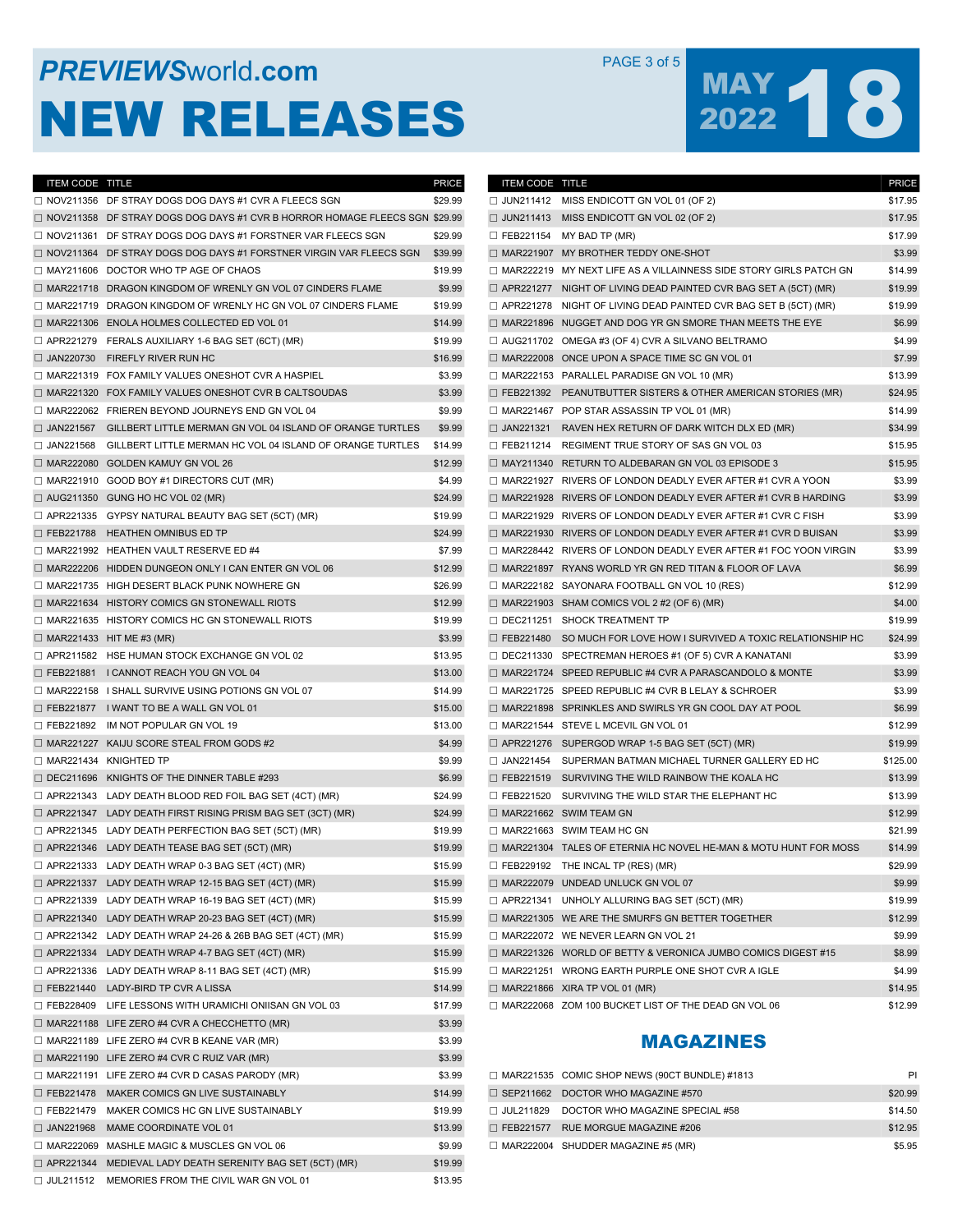## **PREVIEWS** WORLD **COM** PAGE 3 of 5 NEW RELEASES

# MAY 18

\$14.99

| ITEM CODE TITLE |                                                                              | <b>PRICE</b> | <b>ITEM CODE TITLE</b> |                                                                          | <b>PRICE</b> |
|-----------------|------------------------------------------------------------------------------|--------------|------------------------|--------------------------------------------------------------------------|--------------|
|                 | $\Box$ NOV211356 DF STRAY DOGS DOG DAYS #1 CVR A FLEECS SGN                  | \$29.99      |                        | $\Box$ JUN211412 MISS ENDICOTT GN VOL 01 (OF 2)                          | \$17.95      |
|                 | □ NOV211358 DF STRAY DOGS DOG DAYS #1 CVR B HORROR HOMAGE FLEECS SGN \$29.99 |              |                        | $\Box$ JUN211413 MISS ENDICOTT GN VOL 02 (OF 2)                          | \$17.95      |
|                 | $\Box$ NOV211361 DF STRAY DOGS DOG DAYS #1 FORSTNER VAR FLEECS SGN           | \$29.99      |                        | $\Box$ FEB221154 MY BAD TP (MR)                                          | \$17.99      |
|                 | $\Box$ NOV211364 DF STRAY DOGS DOG DAYS #1 FORSTNER VIRGIN VAR FLEECS SGN    | \$39.99      |                        | $\Box$ MAR221907 MY BROTHER TEDDY ONE-SHOT                               | \$3.99       |
|                 | MAY211606 DOCTOR WHO TP AGE OF CHAOS                                         | \$19.99      |                        | □ MAR222219 MY NEXT LIFE AS A VILLAINNESS SIDE STORY GIRLS PATCH GN      | \$14.99      |
|                 | MAR221718 DRAGON KINGDOM OF WRENLY GN VOL 07 CINDERS FLAME                   | \$9.99       |                        | $\Box$ APR221277 NIGHT OF LIVING DEAD PAINTED CVR BAG SET A (5CT) (MR)   | \$19.99      |
|                 | □ MAR221719 DRAGON KINGDOM OF WRENLY HC GN VOL 07 CINDERS FLAME              | \$19.99      |                        | $\Box$ APR221278 NIGHT OF LIVING DEAD PAINTED CVR BAG SET B (5CT) (MR)   | \$19.99      |
|                 | $\Box$ MAR221306 ENOLA HOLMES COLLECTED ED VOL 01                            | \$14.99      |                        | $\Box$ MAR221896 NUGGET AND DOG YR GN SMORE THAN MEETS THE EYE           | \$6.99       |
|                 | APR221279 FERALS AUXILIARY 1-6 BAG SET (6CT) (MR)                            | \$19.99      |                        | $\Box$ AUG211702 OMEGA #3 (OF 4) CVR A SILVANO BELTRAMO                  | \$4.99       |
|                 | $\Box$ JAN220730 FIREFLY RIVER RUN HC                                        | \$16.99      |                        | $\Box$ MAR222008 ONCE UPON A SPACE TIME SC GN VOL 01                     | \$7.99       |
|                 | $\Box$ MAR221319 FOX FAMILY VALUES ONESHOT CVR A HASPIEL                     | \$3.99       |                        | $\Box$ MAR222153 PARALLEL PARADISE GN VOL 10 (MR)                        | \$13.99      |
|                 | $\Box$ MAR221320 FOX FAMILY VALUES ONESHOT CVR B CALTSOUDAS                  | \$3.99       |                        | $\Box$ FEB221392 PEANUTBUTTER SISTERS & OTHER AMERICAN STORIES (MR)      | \$24.95      |
|                 | MAR222062 FRIEREN BEYOND JOURNEYS END GN VOL 04                              | \$9.99       |                        | $\Box$ MAR221467 POP STAR ASSASSIN TP VOL 01 (MR)                        | \$14.99      |
|                 | $\Box$ JAN221567 GILLBERT LITTLE MERMAN GN VOL 04 ISLAND OF ORANGE TURTLES   | \$9.99       |                        | □ JAN221321 RAVEN HEX RETURN OF DARK WITCH DLX ED (MR)                   | \$34.99      |
|                 | $\Box$ JAN221568 GILLBERT LITTLE MERMAN HC VOL 04 ISLAND OF ORANGE TURTLES   | \$14.99      |                        | $\Box$ FEB211214 REGIMENT TRUE STORY OF SAS GN VOL 03                    | \$15.95      |
|                 | $\Box$ MAR222080 GOLDEN KAMUY GN VOL 26                                      | \$12.99      |                        | $\Box$ MAY211340 RETURN TO ALDEBARAN GN VOL 03 EPISODE 3                 | \$15.95      |
|                 | $\Box$ MAR221910 GOOD BOY #1 DIRECTORS CUT (MR)                              |              |                        | $\Box$ MAR221927 RIVERS OF LONDON DEADLY EVER AFTER #1 CVR A YOON        | \$3.99       |
|                 |                                                                              | \$4.99       |                        |                                                                          |              |
|                 | $\Box$ AUG211350 GUNG HO HC VOL 02 (MR)                                      | \$24.99      |                        | $\Box$ MAR221928 RIVERS OF LONDON DEADLY EVER AFTER #1 CVR B HARDING     | \$3.99       |
|                 | $\Box$ APR221335 GYPSY NATURAL BEAUTY BAG SET (5CT) (MR)                     | \$19.99      |                        | $\Box$ MAR221929 RIVERS OF LONDON DEADLY EVER AFTER #1 CVR C FISH        | \$3.99       |
|                 | □ FEB221788 HEATHEN OMNIBUS ED TP                                            | \$24.99      |                        | $\Box$ MAR221930 RIVERS OF LONDON DEADLY EVER AFTER #1 CVR D BUISAN      | \$3.99       |
|                 | MAR221992 HEATHEN VAULT RESERVE ED #4                                        | \$7.99       |                        | $\Box$ MAR228442 RIVERS OF LONDON DEADLY EVER AFTER #1 FOC YOON VIRGIN   | \$3.99       |
|                 | □ MAR222206 HIDDEN DUNGEON ONLY I CAN ENTER GN VOL 06                        | \$12.99      |                        | □ MAR221897 RYANS WORLD YR GN RED TITAN & FLOOR OF LAVA                  | \$6.99       |
|                 | MAR221735 HIGH DESERT BLACK PUNK NOWHERE GN                                  | \$26.99      |                        | $\Box$ MAR222182 SAYONARA FOOTBALL GN VOL 10 (RES)                       | \$12.99      |
|                 | $\Box$ MAR221634 HISTORY COMICS GN STONEWALL RIOTS                           | \$12.99      |                        | $\Box$ MAR221903 SHAM COMICS VOL 2 #2 (OF 6) (MR)                        | \$4.00       |
|                 | MAR221635 HISTORY COMICS HC GN STONEWALL RIOTS                               | \$19.99      |                        | DEC211251 SHOCK TREATMENT TP                                             | \$19.99      |
|                 | $\Box$ MAR221433 HIT ME #3 (MR)                                              | \$3.99       |                        | $\Box$ FEB221480 SO MUCH FOR LOVE HOW I SURVIVED A TOXIC RELATIONSHIP HC | \$24.99      |
|                 | $\Box$ APR211582 HSE HUMAN STOCK EXCHANGE GN VOL 02                          | \$13.95      |                        | $\Box$ DEC211330 SPECTREMAN HEROES #1 (OF 5) CVR A KANATANI              | \$3.99       |
|                 | □ FEB221881 I CANNOT REACH YOU GN VOL 04                                     | \$13.00      |                        | $\Box$ MAR221724 SPEED REPUBLIC #4 CVR A PARASCANDOLO & MONTE            | \$3.99       |
|                 | $\Box$ MAR222158 I SHALL SURVIVE USING POTIONS GN VOL 07                     | \$14.99      |                        | MAR221725 SPEED REPUBLIC #4 CVR B LELAY & SCHROER                        | \$3.99       |
|                 | $\Box$ FEB221877 I WANT TO BE A WALL GN VOL 01                               | \$15.00      |                        | □ MAR221898 SPRINKLES AND SWIRLS YR GN COOL DAY AT POOL                  | \$6.99       |
|                 | $\Box$ FEB221892 IM NOT POPULAR GN VOL 19                                    | \$13.00      |                        | □ MAR221544 STEVE L MCEVIL GN VOL 01                                     | \$12.99      |
|                 | $\Box$ MAR221227 KAIJU SCORE STEAL FROM GODS #2                              | \$4.99       |                        | $\Box$ APR221276 SUPERGOD WRAP 1-5 BAG SET (5CT) (MR)                    | \$19.99      |
|                 | MAR221434 KNIGHTED TP                                                        | \$9.99       |                        | □ JAN221454 SUPERMAN BATMAN MICHAEL TURNER GALLERY ED HC                 | \$125.00     |
|                 | $\Box$ DEC211696 KNIGHTS OF THE DINNER TABLE #293                            | \$6.99       |                        | $\Box$ FEB221519 SURVIVING THE WILD RAINBOW THE KOALA HC                 | \$13.99      |
|                 | $\Box$ APR221343 LADY DEATH BLOOD RED FOIL BAG SET (4CT) (MR)                | \$24.99      |                        | $\Box$ FEB221520 SURVIVING THE WILD STAR THE ELEPHANT HC                 | \$13.99      |
|                 | □ APR221347 LADY DEATH FIRST RISING PRISM BAG SET (3CT) (MR)                 | \$24.99      |                        | $\Box$ MAR221662 SWIM TEAM GN                                            | \$12.99      |
|                 | $\Box$ APR221345 LADY DEATH PERFECTION BAG SET (5CT) (MR)                    | \$19.99      |                        | MAR221663 SWIM TEAM HC GN                                                | \$21.99      |
|                 | $\Box$ APR221346 LADY DEATH TEASE BAG SET (5CT) (MR)                         | \$19.99      |                        | $\Box$ MAR221304 TALES OF ETERNIA HC NOVEL HE-MAN & MOTU HUNT FOR MOSS   | \$14.99      |
|                 | □ APR221333 LADY DEATH WRAP 0-3 BAG SET (4CT) (MR)                           | \$15.99      |                        | $\Box$ FEB229192 THE INCAL TP (RES) (MR)                                 | \$29.99      |
|                 | $\Box$ APR221337 LADY DEATH WRAP 12-15 BAG SET (4CT) (MR)                    | \$15.99      |                        | □ MAR222079 UNDEAD UNLUCK GN VOL 07                                      | \$9.99       |
|                 | $\Box$ APR221339 LADY DEATH WRAP 16-19 BAG SET (4CT) (MR)                    | \$15.99      |                        | $\Box$ APR221341 UNHOLY ALLURING BAG SET (5CT) (MR)                      | \$19.99      |
|                 | $\Box$ APR221340 LADY DEATH WRAP 20-23 BAG SET (4CT) (MR)                    | \$15.99      |                        | $\Box$ MAR221305 WE ARE THE SMURFS GN BETTER TOGETHER                    | \$12.99      |
|                 | $\Box$ APR221342 LADY DEATH WRAP 24-26 & 26B BAG SET (4CT) (MR)              | \$15.99      |                        | $\Box$ MAR222072 WE NEVER LEARN GN VOL 21                                | \$9.99       |
|                 | $\Box$ APR221334 LADY DEATH WRAP 4-7 BAG SET (4CT) (MR)                      | \$15.99      |                        | $\Box$ MAR221326 WORLD OF BETTY & VERONICA JUMBO COMICS DIGEST #15       | \$8.99       |
|                 | $\Box$ APR221336 LADY DEATH WRAP 8-11 BAG SET (4CT) (MR)                     | \$15.99      |                        | MAR221251 WRONG EARTH PURPLE ONE SHOT CVR A IGLE                         | \$4.99       |
|                 | $\Box$ FEB221440 LADY-BIRD TP CVR A LISSA                                    | \$14.99      |                        | $\Box$ MAR221866 XIRA TP VOL 01 (MR)                                     | \$14.95      |
|                 | $\Box$ FEB228409 LIFE LESSONS WITH URAMICHI ONIISAN GN VOL 03                | \$17.99      |                        | MAR222068 ZOM 100 BUCKET LIST OF THE DEAD GN VOL 06                      | \$12.99      |
|                 | $\Box$ MAR221188 LIFE ZERO #4 CVR A CHECCHETTO (MR)                          | \$3.99       |                        |                                                                          |              |
|                 | $\Box$ MAR221189 LIFE ZERO #4 CVR B KEANE VAR (MR)                           | \$3.99       |                        |                                                                          |              |
|                 |                                                                              |              |                        | <b>MAGAZINES</b>                                                         |              |
|                 | $\Box$ MAR221190 LIFE ZERO #4 CVR C RUIZ VAR (MR)                            | \$3.99       |                        |                                                                          |              |
|                 | $\Box$ MAR221191 LIFE ZERO #4 CVR D CASAS PARODY (MR)                        | \$3.99       |                        | $\Box$ MAR221535 COMIC SHOP NEWS (90CT BUNDLE) #1813                     | P            |
|                 | E FEB221478 MAKER COMICS GN LIVE SUSTAINABLY                                 | \$14.99      |                        | $\Box$ SEP211662 DOCTOR WHO MAGAZINE #570                                | \$20.99      |
|                 | $\Box$ FEB221479 MAKER COMICS HC GN LIVE SUSTAINABLY                         | \$19.99      |                        | $\Box$ JUL211829 DOCTOR WHO MAGAZINE SPECIAL #58                         | \$14.50      |
|                 | $\Box$ JAN221968 MAME COORDINATE VOL 01                                      | \$13.99      |                        | $\Box$ FEB221577 RUE MORGUE MAGAZINE #206                                | \$12.95      |
|                 | □ MAR222069 MASHLE MAGIC & MUSCLES GN VOL 06                                 | \$9.99       |                        | $\Box$ MAR222004 SHUDDER MAGAZINE #5 (MR)                                | \$5.95       |
|                 | $\Box$ APR221344 MEDIEVAL LADY DEATH SERENITY BAG SET (5CT) (MR)             | \$19.99      |                        |                                                                          |              |
|                 | $\Box$ JUL211512 MEMORIES FROM THE CIVIL WAR GN VOL 01                       | \$13.95      |                        |                                                                          |              |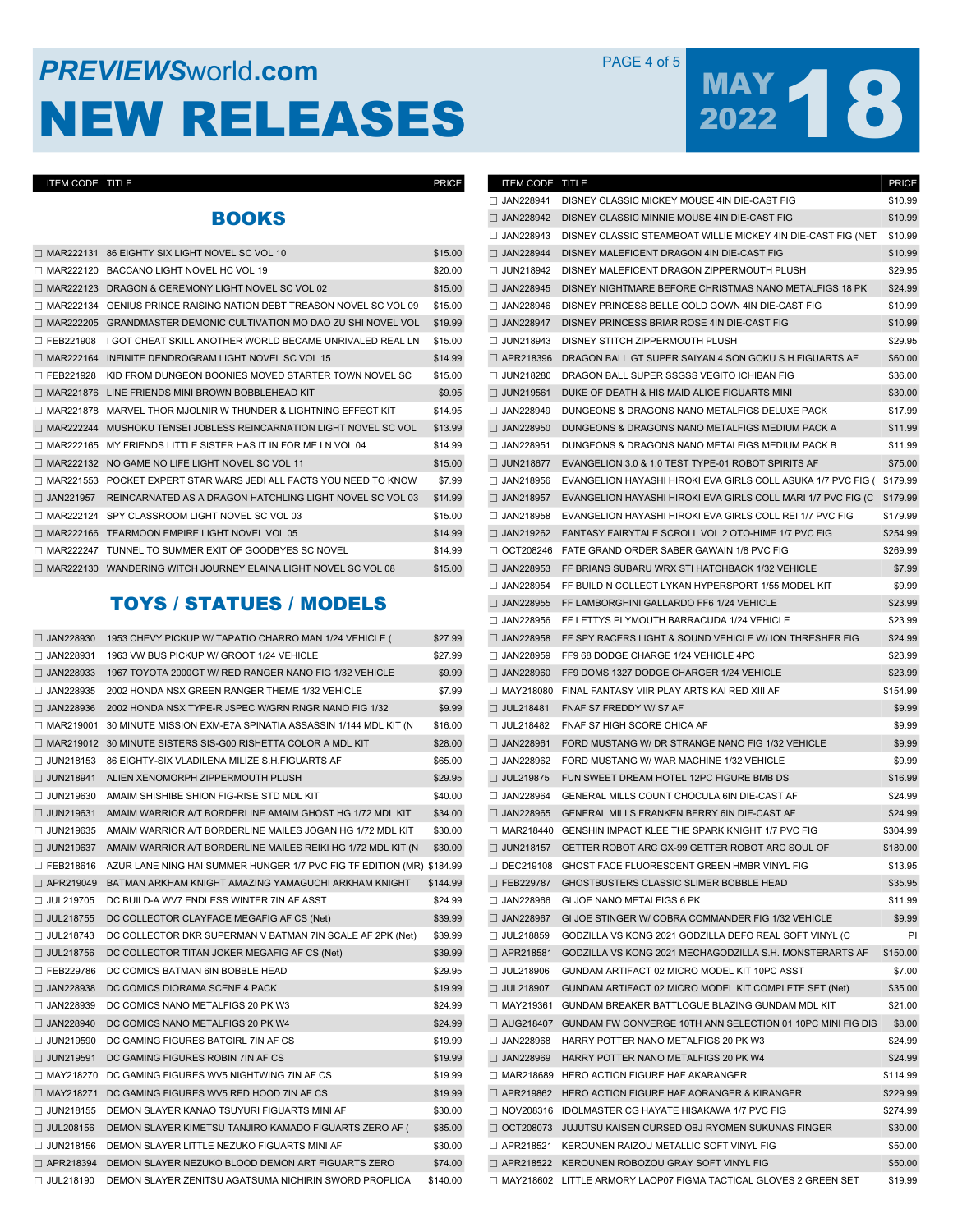## **PREVIEWS** WORLD **COM** PAGE 4 of 5 NEW RELEASES

# MAY 18

#### ITEM CODE TITLE

### BOOKS

|                  | $\Box$ MAR222131 86 EIGHTY SIX LIGHT NOVEL SC VOL 10                     | \$15.00 |
|------------------|--------------------------------------------------------------------------|---------|
| $\Box$ MAR222120 | BACCANO LIGHT NOVEL HC VOL 19                                            | \$20.00 |
| $\Box$ MAR222123 | DRAGON & CEREMONY LIGHT NOVEL SC VOL 02                                  | \$15.00 |
| $\Box$ MAR222134 | GENIUS PRINCE RAISING NATION DEBT TREASON NOVEL SC VOL 09                | \$15.00 |
| MAR222205        | GRANDMASTER DEMONIC CULTIVATION MO DAO ZU SHI NOVEL VOL                  | \$19.99 |
| $\Box$ FEB221908 | I GOT CHEAT SKILL ANOTHER WORLD BECAME UNRIVALED REAL LN                 | \$15.00 |
| $\Box$ MAR222164 | INFINITE DENDROGRAM LIGHT NOVEL SC VOL 15                                | \$14.99 |
| $\Box$ FEB221928 | KID FROM DUNGEON BOONIES MOVED STARTER TOWN NOVEL SC                     | \$15.00 |
|                  | $\Box$ MAR221876 LINE FRIENDS MINI BROWN BOBBLEHEAD KIT                  | \$9.95  |
|                  | $\Box$ MAR221878 MARVEL THOR MJOLNIR W THUNDER & LIGHTNING EFFECT KIT    | \$14.95 |
| $\Box$ MAR222244 | MUSHOKU TENSEI JOBLESS REINCARNATION LIGHT NOVEL SC VOL                  | \$13.99 |
| $\Box$ MAR222165 | MY FRIENDS LITTLE SISTER HAS IT IN FOR ME LN VOL 04                      | \$14.99 |
|                  | □ MAR222132 NO GAME NO LIFE LIGHT NOVEL SC VOL 11                        | \$15.00 |
|                  | $\Box$ MAR221553 POCKET EXPERT STAR WARS JEDI ALL FACTS YOU NEED TO KNOW | \$7.99  |
| JAN221957        | REINCARNATED AS A DRAGON HATCHLING LIGHT NOVEL SC VOL 03                 | \$14.99 |
| $\Box$ MAR222124 | SPY CLASSROOM LIGHT NOVEL SC VOL 03                                      | \$15.00 |
| $\Box$ MAR222166 | TEARMOON EMPIRE LIGHT NOVEL VOL 05                                       | \$14.99 |
| MAR222247<br>П   | TUNNEL TO SUMMER EXIT OF GOODBYES SC NOVEL                               | \$14.99 |
|                  | $\Box$ MAR222130 WANDERING WITCH JOURNEY ELAINA LIGHT NOVEL SC VOL 08    | \$15.00 |

#### TOYS / STATUES / MODELS

| □ JAN228930      | 1953 CHEVY PICKUP W/ TAPATIO CHARRO MAN 1/24 VEHICLE (                | \$27.99  |
|------------------|-----------------------------------------------------------------------|----------|
| $\Box$ JAN228931 | 1963 VW BUS PICKUP W/ GROOT 1/24 VEHICLE                              | \$27.99  |
| $\Box$ JAN228933 | 1967 TOYOTA 2000GT W/ RED RANGER NANO FIG 1/32 VEHICLE                | \$9.99   |
| □ JAN228935      | 2002 HONDA NSX GREEN RANGER THEME 1/32 VEHICLE                        | \$7.99   |
| $\Box$ JAN228936 | 2002 HONDA NSX TYPE-R JSPEC W/GRN RNGR NANO FIG 1/32                  | \$9.99   |
| $\Box$ MAR219001 | 30 MINUTE MISSION EXM-E7A SPINATIA ASSASSIN 1/144 MDL KIT (N          | \$16.00  |
|                  | $\Box$ MAR219012 30 MINUTE SISTERS SIS-G00 RISHETTA COLOR A MDL KIT   | \$28.00  |
| $\Box$ JUN218153 | 86 EIGHTY-SIX VLADILENA MILIZE S.H.FIGUARTS AF                        | \$65.00  |
| $\Box$ JUN218941 | ALIEN XENOMORPH ZIPPERMOUTH PLUSH                                     | \$29.95  |
| □ JUN219630      | AMAIM SHISHIBE SHION FIG-RISE STD MDL KIT                             | \$40.00  |
| $\Box$ JUN219631 | AMAIM WARRIOR A/T BORDERLINE AMAIM GHOST HG 1/72 MDL KIT              | \$34.00  |
| $\Box$ JUN219635 | AMAIM WARRIOR A/T BORDERLINE MAILES JOGAN HG 1/72 MDL KIT             | \$30.00  |
| □ JUN219637      | AMAIM WARRIOR A/T BORDERLINE MAILES REIKI HG 1/72 MDL KIT (N          | \$30.00  |
| □ FEB218616      | AZUR LANE NING HAI SUMMER HUNGER 1/7 PVC FIG TF EDITION (MR) \$184.99 |          |
| □ APR219049      | BATMAN ARKHAM KNIGHT AMAZING YAMAGUCHI ARKHAM KNIGHT                  | \$144.99 |
| □ JUL219705      | DC BUILD-A WV7 ENDLESS WINTER 7IN AF ASST                             | \$24.99  |
| □ JUL218755      | DC COLLECTOR CLAYFACE MEGAFIG AF CS (Net)                             | \$39.99  |
| $\Box$ JUL218743 | DC COLLECTOR DKR SUPERMAN V BATMAN 7IN SCALE AF 2PK (Net)             | \$39.99  |
| $\Box$ JUL218756 | DC COLLECTOR TITAN JOKER MEGAFIG AF CS (Net)                          | \$39.99  |
| □ FEB229786      | DC COMICS BATMAN 6IN BOBBLE HEAD                                      | \$29.95  |
| $\Box$ JAN228938 | DC COMICS DIORAMA SCENE 4 PACK                                        | \$19.99  |
| $\Box$ JAN228939 | DC COMICS NANO METALFIGS 20 PK W3                                     | \$24.99  |
| □ JAN228940      | DC COMICS NANO METALFIGS 20 PK W4                                     | \$24.99  |
| $\Box$ JUN219590 | DC GAMING FIGURES BATGIRL 7IN AF CS                                   | \$19.99  |
| $\Box$ JUN219591 | DC GAMING FIGURES ROBIN 7IN AF CS                                     | \$19.99  |
| □ MAY218270      | DC GAMING FIGURES WV5 NIGHTWING 7IN AF CS                             | \$19.99  |
| □ MAY218271      | DC GAMING FIGURES WV5 RED HOOD 7IN AF CS                              | \$19.99  |
| $\Box$ JUN218155 | DEMON SLAYER KANAO TSUYURI FIGUARTS MINI AF                           | \$30.00  |
| □ JUL208156      | DEMON SLAYER KIMETSU TANJIRO KAMADO FIGUARTS ZERO AF (                | \$85.00  |
| □ JUN218156      | DEMON SLAYER LITTLE NEZUKO FIGUARTS MINI AF                           | \$30.00  |
| $\Box$ APR218394 | DEMON SLAYER NEZUKO BLOOD DEMON ART FIGUARTS ZERO                     | \$74.00  |
| □ JUL218190      | DEMON SLAYER ZENITSU AGATSUMA NICHIRIN SWORD PROPLICA                 | \$140.00 |
|                  |                                                                       |          |

| ITEM CODE TITLE  |                                                                        | <b>PRICE</b> |
|------------------|------------------------------------------------------------------------|--------------|
| $\Box$ JAN228941 | DISNEY CLASSIC MICKEY MOUSE 4IN DIE-CAST FIG                           | \$10.99      |
| $\Box$ JAN228942 | DISNEY CLASSIC MINNIE MOUSE 4IN DIE-CAST FIG                           | \$10.99      |
| $\Box$ JAN228943 | DISNEY CLASSIC STEAMBOAT WILLIE MICKEY 4IN DIE-CAST FIG (NET           | \$10.99      |
| □ JAN228944      | DISNEY MALEFICENT DRAGON 4IN DIE-CAST FIG                              | \$10.99      |
| □ JUN218942      | DISNEY MALEFICENT DRAGON ZIPPERMOUTH PLUSH                             | \$29.95      |
| $\Box$ JAN228945 | DISNEY NIGHTMARE BEFORE CHRISTMAS NANO METALFIGS 18 PK                 | \$24.99      |
| $\Box$ JAN228946 | DISNEY PRINCESS BELLE GOLD GOWN 4IN DIE-CAST FIG                       | \$10.99      |
| □ JAN228947      | DISNEY PRINCESS BRIAR ROSE 4IN DIE-CAST FIG                            | \$10.99      |
| □ JUN218943      | DISNEY STITCH ZIPPERMOUTH PLUSH                                        | \$29.95      |
| □ APR218396      | DRAGON BALL GT SUPER SAIYAN 4 SON GOKU S.H.FIGUARTS AF                 | \$60.00      |
| □ JUN218280      | DRAGON BALL SUPER SSGSS VEGITO ICHIBAN FIG                             | \$36.00      |
| $\Box$ JUN219561 | DUKE OF DEATH & HIS MAID ALICE FIGUARTS MINI                           | \$30.00      |
| □ JAN228949      | DUNGEONS & DRAGONS NANO METALFIGS DELUXE PACK                          | \$17.99      |
| □ JAN228950      | DUNGEONS & DRAGONS NANO METALFIGS MEDIUM PACK A                        | \$11.99      |
| $\Box$ JAN228951 | DUNGEONS & DRAGONS NANO METALFIGS MEDIUM PACK B                        | \$11.99      |
| □ JUN218677      | EVANGELION 3.0 & 1.0 TEST TYPE-01 ROBOT SPIRITS AF                     | \$75.00      |
| □ JAN218956      | EVANGELION HAYASHI HIROKI EVA GIRLS COLL ASUKA 1/7 PVC FIG ( \$179.99  |              |
| □ JAN218957      | EVANGELION HAYASHI HIROKI EVA GIRLS COLL MARI 1/7 PVC FIG (C           | \$179.99     |
| $\Box$ JAN218958 | EVANGELION HAYASHI HIROKI EVA GIRLS COLL REI 1/7 PVC FIG               | \$179.99     |
| □ JAN219262      | FANTASY FAIRYTALE SCROLL VOL 2 OTO-HIME 1/7 PVC FIG                    | \$254.99     |
| $\Box$ OCT208246 | FATE GRAND ORDER SABER GAWAIN 1/8 PVC FIG                              | \$269.99     |
| □ JAN228953      | FF BRIANS SUBARU WRX STI HATCHBACK 1/32 VEHICLE                        | \$7.99       |
| $\Box$ JAN228954 | FF BUILD N COLLECT LYKAN HYPERSPORT 1/55 MODEL KIT                     | \$9.99       |
| □ JAN228955      | FF LAMBORGHINI GALLARDO FF6 1/24 VEHICLE                               | \$23.99      |
| □ JAN228956      | FF LETTYS PLYMOUTH BARRACUDA 1/24 VEHICLE                              | \$23.99      |
| □ JAN228958      | FF SPY RACERS LIGHT & SOUND VEHICLE W/ ION THRESHER FIG                | \$24.99      |
| $\Box$ JAN228959 | FF9 68 DODGE CHARGE 1/24 VEHICLE 4PC                                   | \$23.99      |
| □ JAN228960      | FF9 DOMS 1327 DODGE CHARGER 1/24 VEHICLE                               | \$23.99      |
| $\Box$ MAY218080 | FINAL FANTASY VIIR PLAY ARTS KAI RED XIII AF                           | \$154.99     |
| □ JUL218481      | FNAF S7 FREDDY W/ S7 AF                                                | \$9.99       |
| $\Box$ JUL218482 | FNAF S7 HIGH SCORE CHICA AF                                            | \$9.99       |
| □ JAN228961      | FORD MUSTANG W/ DR STRANGE NANO FIG 1/32 VEHICLE                       | \$9.99       |
| $\Box$ JAN228962 | FORD MUSTANG W/ WAR MACHINE 1/32 VEHICLE                               | \$9.99       |
| □ JUL219875      | FUN SWEET DREAM HOTEL 12PC FIGURE BMB DS                               | \$16.99      |
| $\Box$ JAN228964 | GENERAL MILLS COUNT CHOCULA 6IN DIE-CAST AF                            | \$24.99      |
| □ JAN228965      | GENERAL MILLS FRANKEN BERRY 6IN DIE-CAST AF                            | \$24.99      |
|                  | □ MAR218440 GENSHIN IMPACT KLEE THE SPARK KNIGHT 1/7 PVC FIG           | \$304.99     |
| $\Box$ JUN218157 | GETTER ROBOT ARC GX-99 GETTER ROBOT ARC SOUL OF                        | \$180.00     |
| $\Box$ DEC219108 | GHOST FACE FLUORESCENT GREEN HMBR VINYL FIG                            | \$13.95      |
| □ FEB229787      | GHOSTBUSTERS CLASSIC SLIMER BOBBLE HEAD                                | \$35.95      |
|                  | JAN228966 GIJOE NANO METALFIGS 6 PK                                    | \$11.99      |
| □ JAN228967      | GI JOE STINGER W/ COBRA COMMANDER FIG 1/32 VEHICLE                     | \$9.99       |
| □ JUL218859      | GODZILLA VS KONG 2021 GODZILLA DEFO REAL SOFT VINYL (C                 | PI           |
|                  | □ APR218581 GODZILLA VS KONG 2021 MECHAGODZILLA S.H. MONSTERARTS AF    | \$150.00     |
| □ JUL218906      | GUNDAM ARTIFACT 02 MICRO MODEL KIT 10PC ASST                           | \$7.00       |
| □ JUL218907      | GUNDAM ARTIFACT 02 MICRO MODEL KIT COMPLETE SET (Net)                  | \$35.00      |
|                  | MAY219361 GUNDAM BREAKER BATTLOGUE BLAZING GUNDAM MDL KIT              | \$21.00      |
|                  | □ AUG218407 GUNDAM FW CONVERGE 10TH ANN SELECTION 01 10PC MINI FIG DIS | \$8.00       |
|                  | JAN228968 HARRY POTTER NANO METALFIGS 20 PK W3                         | \$24.99      |
| □ JAN228969      | HARRY POTTER NANO METALFIGS 20 PK W4                                   | \$24.99      |
|                  | MAR218689 HERO ACTION FIGURE HAF AKARANGER                             | \$114.99     |
|                  | □ APR219862 HERO ACTION FIGURE HAF AORANGER & KIRANGER                 | \$229.99     |
|                  | □ NOV208316 IDOLMASTER CG HAYATE HISAKAWA 1/7 PVC FIG                  | \$274.99     |
|                  | OCT208073 JUJUTSU KAISEN CURSED OBJ RYOMEN SUKUNAS FINGER              | \$30.00      |
|                  | APR218521 KEROUNEN RAIZOU METALLIC SOFT VINYL FIG                      | \$50.00      |
|                  | APR218522 KEROUNEN ROBOZOU GRAY SOFT VINYL FIG                         | \$50.00      |
|                  | □ MAY218602 LITTLE ARMORY LAOP07 FIGMA TACTICAL GLOVES 2 GREEN SET     | \$19.99      |